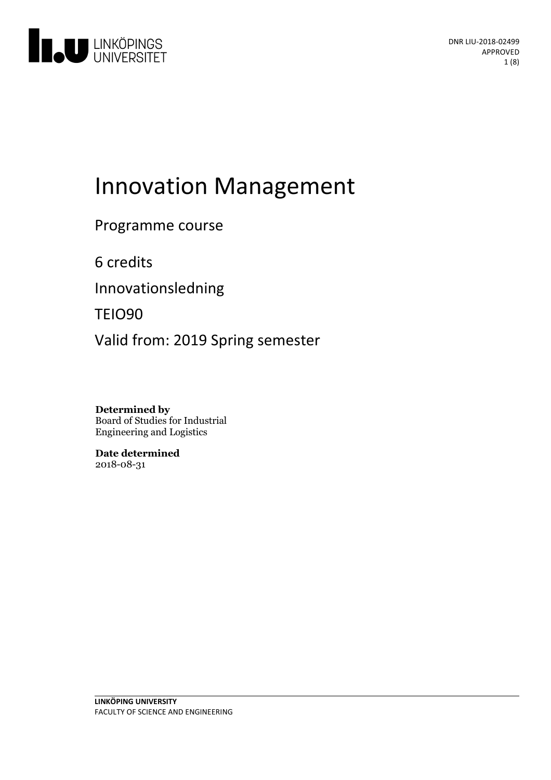

# Innovation Management

Programme course

6 credits

Innovationsledning

TEIO90

Valid from: 2019 Spring semester

**Determined by** Board of Studies for Industrial Engineering and Logistics

**Date determined** 2018-08-31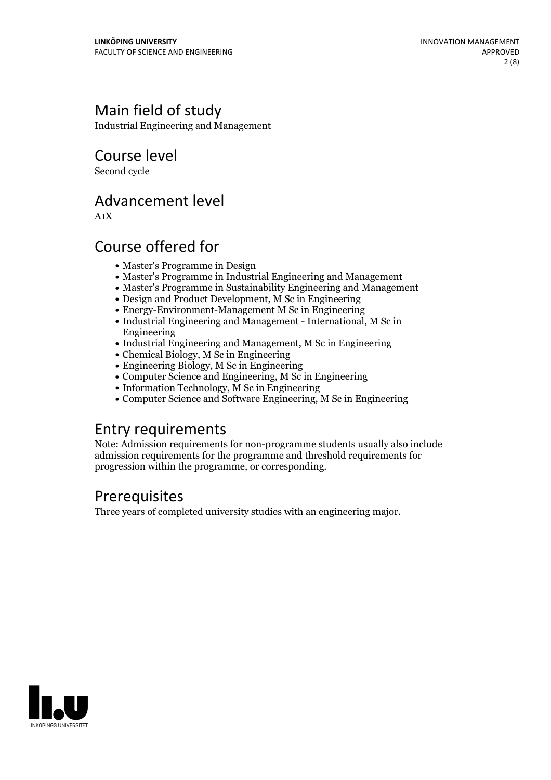# Main field of study

Industrial Engineering and Management

Course level

Second cycle

## Advancement level

A1X

# Course offered for

- Master's Programme in Design
- Master's Programme in Industrial Engineering and Management
- Master's Programme in Sustainability Engineering and Management
- Design and Product Development, M Sc in Engineering
- Energy-Environment-Management M Sc in Engineering
- Industrial Engineering and Management International, M Sc in Engineering
- Industrial Engineering and Management, M Sc in Engineering
- Chemical Biology, M Sc in Engineering
- Engineering Biology, M Sc in Engineering
- Computer Science and Engineering, M Sc in Engineering
- Information Technology, M Sc in Engineering
- Computer Science and Software Engineering, M Sc in Engineering

### Entry requirements

Note: Admission requirements for non-programme students usually also include admission requirements for the programme and threshold requirements for progression within the programme, or corresponding.

# Prerequisites

Three years of completed university studies with an engineering major.

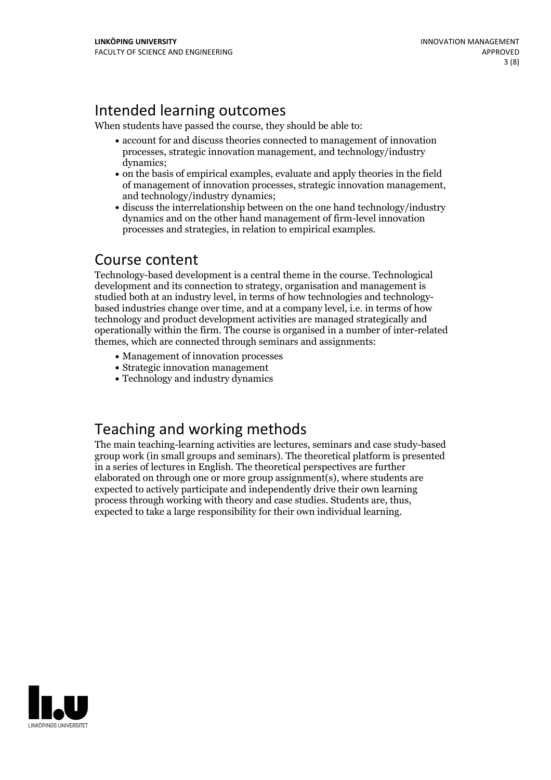# Intended learning outcomes

When students have passed the course, they should be able to:

- account for and discuss theories connected to management of innovation processes, strategic innovation management, and technology/industry dynamics;
- on the basis of empirical examples, evaluate and apply theories in the field of management of innovation processes, strategic innovation management, and technology/industry dynamics;
- discuss the interrelationship between on the one hand technology/industry dynamics and on the other hand management of firm-level innovation processes and strategies, in relation to empirical examples.

### Course content

Technology-based development is a central theme in the course. Technological development and its connection to strategy, organisation and management is studied both at an industry level, in terms of how technologies and technology- based industries change over time, and at <sup>a</sup> company level, i.e. in terms of how technology and product development activities are managed strategically and operationally within the firm. The course is organised in a number of inter-related themes, which are connected through seminars and assignments:

- Management of innovation processes
- Strategic innovation management
- Technology and industry dynamics

# Teaching and working methods

The main teaching-learning activities are lectures, seminars and case study-based group work (in small groups and seminars). The theoretical platform is presented in a series of lectures in English. The theoretical perspectives are further elaborated on through one or more group assignment(s), where students are expected to actively participate and independently drive their own learning process through working with theory and case studies. Students are, thus, expected to take <sup>a</sup> large responsibility for their own individual learning.

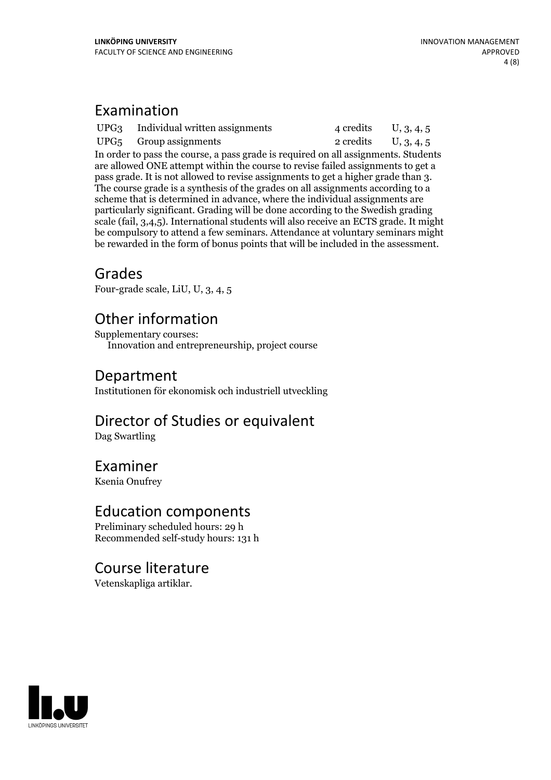# Examination

|  | UPG3 Individual written assignments | 4 credits U, 3, 4, 5 |  |
|--|-------------------------------------|----------------------|--|
|  | $UPG5$ Group assignments            | 2 credits U, 3, 4, 5 |  |
|  |                                     |                      |  |

In order to pass the course, a pass grade is required on all assignments. Students are allowed ONE attempt within the course to revise failed assignments to get a The course grade is a synthesis of the grades on all assignments according to a scheme that is determined in advance, where the individual assignments are particularly significant. Grading will be done according to the Swedish grading scale (fail, 3,4,5). International students will also receive an ECTS grade. It might be compulsory to attend a few seminars. Attendance at voluntary seminars might be rewarded in the form of bonus points that will be included in the assessment.

### Grades

Four-grade scale, LiU, U, 3, 4, 5

## Other information

Supplementary courses: Innovation and entrepreneurship, project course

### Department

Institutionen för ekonomisk och industriell utveckling

# Director of Studies or equivalent

Dag Swartling

### Examiner

Ksenia Onufrey

### Education components

Preliminary scheduled hours: 29 h Recommended self-study hours: 131 h

### Course literature

Vetenskapliga artiklar.

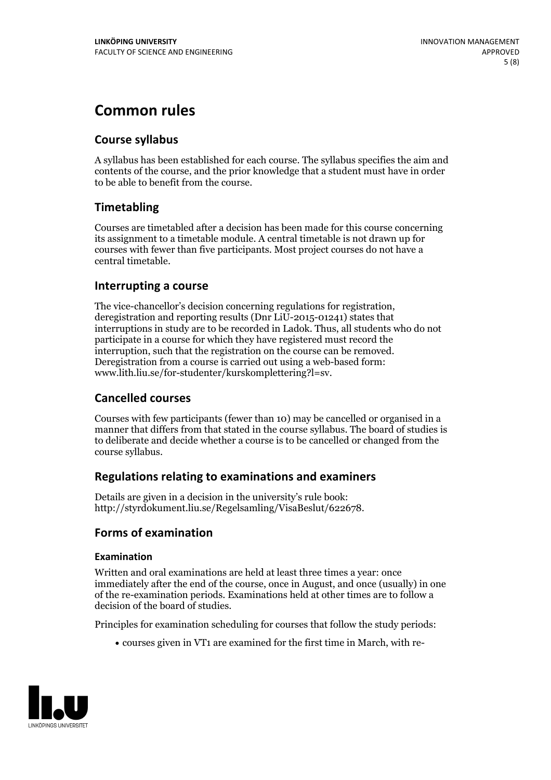# **Common rules**

### **Course syllabus**

A syllabus has been established for each course. The syllabus specifies the aim and contents of the course, and the prior knowledge that a student must have in order to be able to benefit from the course.

### **Timetabling**

Courses are timetabled after a decision has been made for this course concerning its assignment to a timetable module. A central timetable is not drawn up for courses with fewer than five participants. Most project courses do not have a central timetable.

### **Interrupting a course**

The vice-chancellor's decision concerning regulations for registration, deregistration and reporting results (Dnr LiU-2015-01241) states that interruptions in study are to be recorded in Ladok. Thus, all students who do not participate in a course for which they have registered must record the interruption, such that the registration on the course can be removed. Deregistration from <sup>a</sup> course is carried outusing <sup>a</sup> web-based form: www.lith.liu.se/for-studenter/kurskomplettering?l=sv.

### **Cancelled courses**

Courses with few participants (fewer than 10) may be cancelled or organised in a manner that differs from that stated in the course syllabus. The board of studies is to deliberate and decide whether a course is to be cancelled orchanged from the course syllabus.

### **Regulations relatingto examinations and examiners**

Details are given in a decision in the university's rule book: http://styrdokument.liu.se/Regelsamling/VisaBeslut/622678.

### **Forms of examination**

#### **Examination**

Written and oral examinations are held at least three times a year: once immediately after the end of the course, once in August, and once (usually) in one of the re-examination periods. Examinations held at other times are to follow a decision of the board of studies.

Principles for examination scheduling for courses that follow the study periods:

courses given in VT1 are examined for the first time in March, with re-

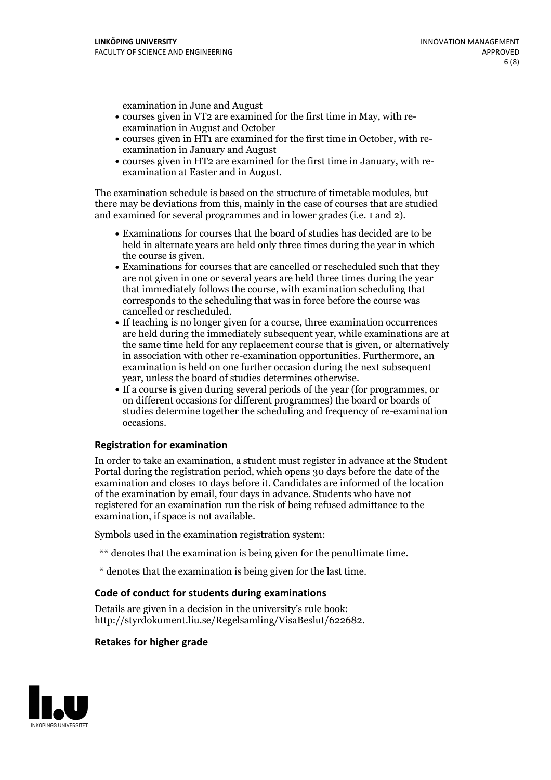examination in June and August

- courses given in VT2 are examined for the first time in May, with re-examination in August and October
- courses given in HT1 are examined for the first time in October, with re-examination in January and August
- courses given in HT2 are examined for the first time in January, with re-examination at Easter and in August.

The examination schedule is based on the structure of timetable modules, but there may be deviations from this, mainly in the case of courses that are studied and examined for several programmes and in lower grades (i.e. 1 and 2).

- Examinations for courses that the board of studies has decided are to be held in alternate years are held only three times during the year in which
- the course is given.<br>• Examinations for courses that are cancelled or rescheduled such that they are not given in one or several years are held three times during the year that immediately follows the course, with examination scheduling that corresponds to the scheduling that was in force before the course was cancelled or rescheduled.<br>• If teaching is no longer given for a course, three examination occurrences
- are held during the immediately subsequent year, while examinations are at the same time held for any replacement course that is given, or alternatively in association with other re-examination opportunities. Furthermore, an examination is held on one further occasion during the next subsequent year, unless the board of studies determines otherwise.<br>• If a course is given during several periods of the year (for programmes, or
- on different occasions for different programmes) the board orboards of studies determine together the scheduling and frequency of re-examination occasions.

#### **Registration for examination**

In order to take an examination, a student must register in advance at the Student Portal during the registration period, which opens 30 days before the date of the examination and closes 10 days before it. Candidates are informed of the location of the examination by email, four days in advance. Students who have not registered for an examination run the risk of being refused admittance to the examination, if space is not available.

Symbols used in the examination registration system:

- \*\* denotes that the examination is being given for the penultimate time.
- \* denotes that the examination is being given for the last time.

#### **Code of conduct for students during examinations**

Details are given in a decision in the university's rule book: http://styrdokument.liu.se/Regelsamling/VisaBeslut/622682.

#### **Retakes for higher grade**

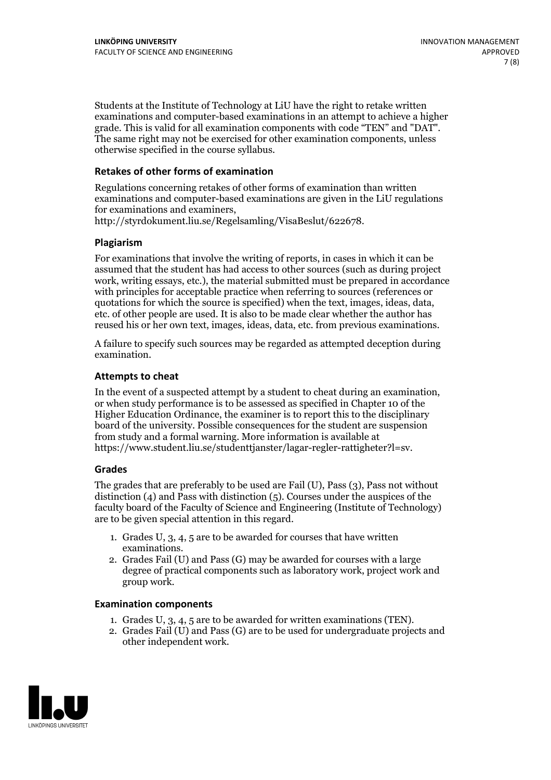Students at the Institute of Technology at LiU have the right to retake written examinations and computer-based examinations in an attempt to achieve a higher grade. This is valid for all examination components with code "TEN" and "DAT". The same right may not be exercised for other examination components, unless otherwise specified in the course syllabus.

#### **Retakes of other forms of examination**

Regulations concerning retakes of other forms of examination than written examinations and computer-based examinations are given in the LiU regulations for examinations and examiners, http://styrdokument.liu.se/Regelsamling/VisaBeslut/622678.

#### **Plagiarism**

For examinations that involve the writing of reports, in cases in which it can be assumed that the student has had access to other sources (such as during project work, writing essays, etc.), the material submitted must be prepared in accordance with principles for acceptable practice when referring to sources (references or quotations for which the source is specified) when the text, images, ideas, data, etc. of other people are used. It is also to be made clear whether the author has reused his or her own text, images, ideas, data, etc. from previous examinations.

A failure to specify such sources may be regarded as attempted deception during examination.

#### **Attempts to cheat**

In the event of <sup>a</sup> suspected attempt by <sup>a</sup> student to cheat during an examination, or when study performance is to be assessed as specified in Chapter <sup>10</sup> of the Higher Education Ordinance, the examiner is to report this to the disciplinary board of the university. Possible consequences for the student are suspension from study and a formal warning. More information is available at https://www.student.liu.se/studenttjanster/lagar-regler-rattigheter?l=sv.

#### **Grades**

The grades that are preferably to be used are Fail (U), Pass (3), Pass not without distinction  $(4)$  and Pass with distinction  $(5)$ . Courses under the auspices of the faculty board of the Faculty of Science and Engineering (Institute of Technology) are to be given special attention in this regard.

- 1. Grades U, 3, 4, 5 are to be awarded for courses that have written
- examinations. 2. Grades Fail (U) and Pass (G) may be awarded for courses with <sup>a</sup> large degree of practical components such as laboratory work, project work and group work.

#### **Examination components**

- 
- 1. Grades U, 3, 4, <sup>5</sup> are to be awarded for written examinations (TEN). 2. Grades Fail (U) and Pass (G) are to be used for undergraduate projects and other independent work.